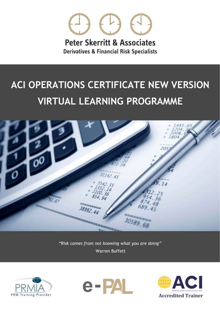

**Peter Skerritt & Associates Derivatives & Financial Risk Specialists** 

# **ACI OPERATIONS CERTIFICATE NEW VERSION VIRTUAL LEARNING PROGRAMME**



*"Risk comes from not knowing what you are doing"* Warren Buffett





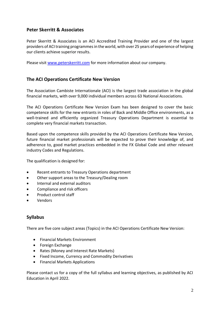#### **Peter Skerritt & Associates**

Peter Skerritt & Associates is an ACI Accredited Training Provider and one of the largest providers of ACI training programmes in the world, with over 25 years of experience of helping our clients achieve superior results.

Please visit [www.peterskerritt.com](http://www.peterskerritt.com/) for more information about our company.

#### **The ACI Operations Certificate New Version**

The Association Cambiste Internationale (ACI) is the largest trade association in the global financial markets, with over 9,000 individual members across 63 National Associations.

The ACI Operations Certificate New Version Exam has been designed to cover the basic competence skills for the new entrants in roles of Back and Middle Office environments, as a well-trained and efficiently organized Treasury Operations Department is essential to complete very financial markets transaction.

Based upon the competence skills provided by the ACI Operations Certificate New Version, future financial market professionals will be expected to prove their knowledge of, and adherence to, good market practices embedded in the FX Global Code and other relevant industry Codes and Regulations.

The qualification is designed for:

- Recent entrants to Treasury Operations department
- Other support areas to the Treasury/Dealing room
- Internal and external auditors
- Compliance and risk officers
- Product control staff
- Vendors

#### **Syllabus**

There are five core subject areas (Topics) in the ACI Operations Certificate New Version:

- Financial Markets Environment
- Foreign Exchange
- Rates (Money and Interest Rate Markets)
- Fixed Income, Currency and Commodity Derivatives
- Financial Markets Applications

Please contact us for a copy of the full syllabus and learning objectives, as published by ACI Education in April 2022.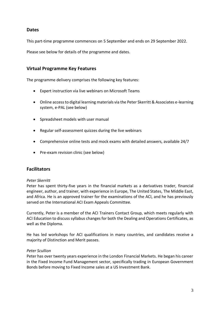#### **Dates**

This part-time programme commences on 5 September and ends on 29 September 2022.

Please see below for details of the programme and dates.

#### **Virtual Programme Key Features**

The programme delivery comprises the following key features:

- Expert instruction via live webinars on Microsoft Teams
- Online access to digital learning materials via the Peter Skerritt & Associates e-learning system, e-PAL (see below)
- Spreadsheet models with user manual
- Regular self-assessment quizzes during the live webinars
- Comprehensive online tests and mock exams with detailed answers, available 24/7
- Pre-exam revision clinic (see below)

#### **Facilitators**

#### *Peter Skerritt*

Peter has spent thirty-five years in the financial markets as a derivatives trader, financial engineer, author, and trainer, with experience in Europe, The United States, The Middle East, and Africa. He is an approved trainer for the examinations of the ACI, and he has previously served on the International ACI Exam Appeals Committee.

Currently, Peter is a member of the ACI Trainers Contact Group, which meets regularly with ACI Education to discuss syllabus changes for both the Dealing and Operations Certificates, as well as the Diploma.

He has led workshops for ACI qualifications in many countries, and candidates receive a majority of Distinction and Merit passes.

#### *Peter Scullion*

Peter has over twenty years experience in the London Financial Markets. He began his career in the Fixed Income Fund Management sector, specifically trading in European Government Bonds before moving to Fixed Income sales at a US Investment Bank.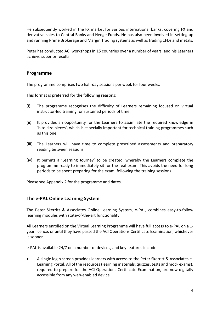He subsequently worked in the FX market for various international banks, covering FX and derivative sales to Central Banks and Hedge Funds. He has also been involved in setting up and running Prime Brokerage and Margin Trading systems as well as trading CFDs and metals.

Peter has conducted ACI workshops in 15 countries over a number of years, and his Learners achieve superior results.

#### **Programme**

The programme comprises two half-day sessions per week for four weeks.

This format is preferred for the following reasons:

- (i) The programme recognises the difficulty of Learners remaining focused on virtual instructor-led training for sustained periods of time.
- (ii) It provides an opportunity for the Learners to assimilate the required knowledge in 'bite-size pieces', which is especially important for technical training programmes such as this one.
- (iii) The Learners will have time to complete prescribed assessments and preparatory reading between sessions.
- (iv) It permits a 'Learning Journey' to be created, whereby the Learners complete the programme ready to immediately sit for the real exam. This avoids the need for long periods to be spent preparing for the exam, following the training sessions.

Please see Appendix 2 for the programme and dates.

#### **The e-PAL Online Learning System**

The Peter Skerritt & Associates Online Learning System, e-PAL, combines easy-to-follow learning modules with state-of-the-art functionality.

All Learners enrolled on the Virtual Learning Programme will have full access to e-PAL on a 1 year licence, or until they have passed the ACI Operations Certificate Examination, whichever is sooner.

e-PAL is available 24/7 on a number of devices, and key features include:

• A single login screen provides learners with access to the Peter Skerritt & Associates e-Learning Portal. All of the resources (learning materials, quizzes, tests and mock exams), required to prepare for the ACI Operations Certificate Examination, are now digitally accessible from any web-enabled device.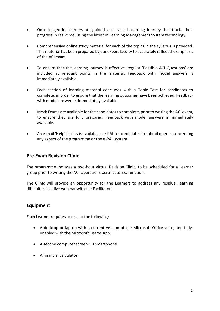- Once logged in, learners are guided via a visual Learning Journey that tracks their progress in real-time, using the latest in Learning Management System technology.
- Comprehensive online study material for each of the topics in the syllabus is provided. This material has been prepared by our expert faculty to accurately reflect the emphasis of the ACI exam.
- To ensure that the learning journey is effective, regular 'Possible ACI Questions' are included at relevant points in the material. Feedback with model answers is immediately available.
- Each section of learning material concludes with a Topic Test for candidates to complete, in order to ensure that the learning outcomes have been achieved. Feedback with model answers is immediately available.
- Mock Exams are available for the candidates to complete, prior to writing the ACI exam, to ensure they are fully prepared. Feedback with model answers is immediately available.
- An e-mail 'Help' facility is available in e-PAL for candidates to submit queries concerning any aspect of the programme or the e-PAL system.

#### **Pre-Exam Revision Clinic**

The programme includes a two-hour virtual Revision Clinic, to be scheduled for a Learner group prior to writing the ACI Operations Certificate Examination.

The Clinic will provide an opportunity for the Learners to address any residual learning difficulties in a live webinar with the Facilitators.

#### **Equipment**

Each Learner requires access to the following:

- A desktop or laptop with a current version of the Microsoft Office suite, and fullyenabled with the Microsoft Teams App.
- A second computer screen OR smartphone.
- A financial calculator.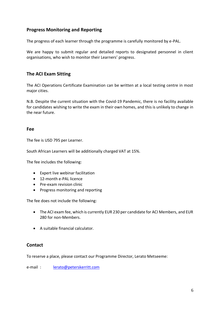## **Progress Monitoring and Reporting**

The progress of each learner through the programme is carefully monitored by e-PAL.

We are happy to submit regular and detailed reports to designated personnel in client organisations, who wish to monitor their Learners' progress.

### **The ACI Exam Sitting**

The ACI Operations Certificate Examination can be written at a local testing centre in most major cities.

N.B. Despite the current situation with the Covid-19 Pandemic, there is no facility available for candidates wishing to write the exam in their own homes, and this is unlikely to change in the near future.

#### **Fee**

The fee is USD 795 per Learner.

South African Learners will be additionally charged VAT at 15%.

The fee includes the following:

- Expert live webinar facilitation
- 12-month e-PAL licence
- Pre-exam revision clinic
- Progress monitoring and reporting

The fee does not include the following:

- The ACI exam fee, which is currently EUR 230 per candidate for ACI Members, and EUR 280 for non-Members.
- A suitable financial calculator.

### **Contact**

To reserve a place, please contact our Programme Director, Lerato Metseeme:

e-mail : [lerato@peterskerritt.com](mailto:lerato@peterskerritt.com)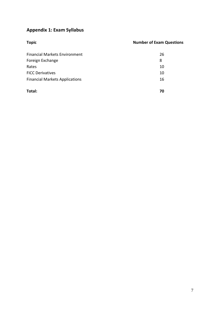# **Appendix 1: Exam Syllabus**

| <b>Topic</b>                          | <b>Number of Exam Questions</b> |
|---------------------------------------|---------------------------------|
| <b>Financial Markets Environment</b>  | 26                              |
| Foreign Exchange                      | 8                               |
| Rates                                 | 10                              |
| <b>FICC Derivatives</b>               | 10                              |
| <b>Financial Markets Applications</b> | 16                              |
| Total:                                | 70                              |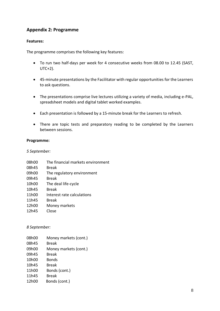## **Appendix 2: Programme**

#### **Features:**

The programme comprises the following key features:

- To run two half-days per week for 4 consecutive weeks from 08.00 to 12.45 (SAST, UTC+2).
- 45-minute presentations by the Facilitator with regular opportunities for the Learners to ask questions.
- The presentations comprise live lectures utilizing a variety of media, including e-PAL, spreadsheet models and digital tablet worked examples.
- Each presentation is followed by a 15-minute break for the Learners to refresh.
- There are topic tests and preparatory reading to be completed by the Learners between sessions.

#### **Programme:**

*5 September:*

| 08h00 | The financial markets environment |
|-------|-----------------------------------|
| 08h45 | <b>Break</b>                      |
| 09h00 | The regulatory environment        |
| 09h45 | Break                             |
| 10h00 | The deal life-cycle               |
| 10h45 | Break                             |
| 11h00 | Interest rate calculations        |
| 11h45 | <b>Break</b>                      |
| 12h00 | Money markets                     |
| 12h45 | Close                             |
|       |                                   |

#### *8 September:*

| 08h00 | Money markets (cont.) |
|-------|-----------------------|
| 08h45 | Break                 |
| 09h00 | Money markets (cont.) |
| 09h45 | Break                 |
| 10h00 | <b>Bonds</b>          |
| 10h45 | Break                 |
| 11h00 | Bonds (cont.)         |
| 11h45 | Break                 |
| 12h00 | Bonds (cont.)         |
|       |                       |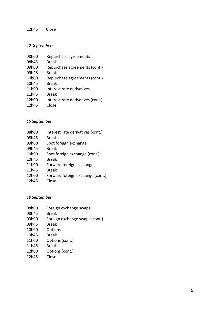#### 12h45 Close

#### *12 September:*

| 08h00 | Repurchase agreements             |
|-------|-----------------------------------|
| 08h45 | <b>Break</b>                      |
| 09h00 | Repurchase agreements (cont.)     |
| 09h45 | Break                             |
| 10h00 | Repurchase agreements (cont.)     |
| 10h45 | Break                             |
| 11h00 | Interest rate derivatives         |
| 11h45 | <b>Break</b>                      |
| 12h00 | Interest rate derivatives (cont.) |
| 12h45 | Close                             |

# *15 September:*

| 08h00 | Interest rate derivatives (cont.) |
|-------|-----------------------------------|
| 08h45 | <b>Break</b>                      |
| 09h00 | Spot foreign exchange             |
| 09h45 | Break                             |
| 10h00 | Spot foreign exchange (cont.)     |
| 10h45 | Break                             |
| 11h00 | Forward foreign exchange          |
| 11h45 | <b>Break</b>                      |
| 12h00 | Forward foreign exchange (cont.)  |
| 12h45 | Close                             |

#### *19 September:*

| 08h00              | Foreign exchange swaps         |
|--------------------|--------------------------------|
| 08h45              | <b>Break</b>                   |
| 09h00              | Foreign exchange swaps (cont.) |
| 09h45              | Break                          |
| 10h00              | Options                        |
| 10 <sub>h</sub> 45 | Break                          |
| 11h00              | Options (cont.)                |
| 11h45              | <b>Break</b>                   |
| 12h00              | Options (cont.)                |
| 12h45              | Close                          |